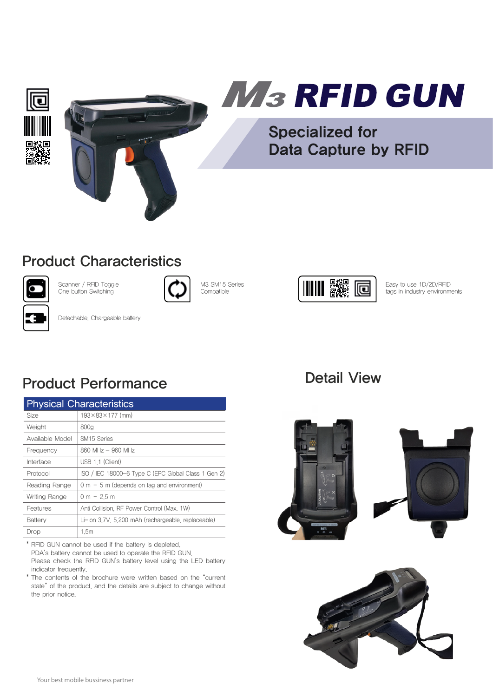



# M<sub>3</sub> RFID GUN

Specialized for Data Capture by RFID

### Product Characteristics



Scanner / RFID Toggle One button Switching



M3 SM15 Series Compatible



Easy to use 1D/2D/RFID tags in industry environments

Detachable, Chargeable battery

## Product Performance

| <b>Physical Characteristics</b> |                                                     |
|---------------------------------|-----------------------------------------------------|
| Size                            | $193 \times 83 \times 177$ (mm)                     |
| Weight                          | 800g                                                |
| Available Model                 | SM <sub>15</sub> Series                             |
| Frequency                       | 860 MHz - 960 MHz                                   |
| Interface                       | USB 1.1 (Client)                                    |
| Protocol                        | ISO / IEC 18000-6 Type C (EPC Global Class 1 Gen 2) |
| Reading Range                   | $0 m - 5 m$ (depends on tag and environment)        |
| Writing Range                   | $0 m - 2.5 m$                                       |
| Features                        | Anti Collision, RF Power Control (Max, 1W)          |
| Battery                         | Li-lon 3.7V, 5.200 mAh (rechargeable, replaceable)  |
| Drop                            | 1.5m                                                |

\* RFID GUN cannot be used if the battery is depleted. PDA's battery cannot be used to operate the RFID GUN. Please check the RFID GUN's battery level using the LED battery indicator frequently.

\* The contents of the brochure were written based on the "current state" of the product and the details are subject to change without the prior notice.

### Detail View